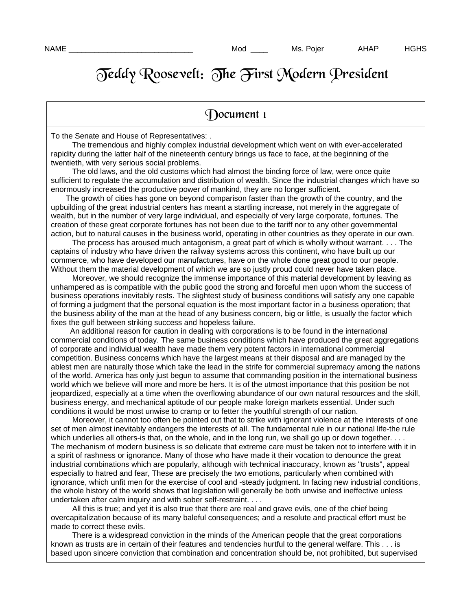## Teddy Roosevelt: The First Modern President

## Document 1

To the Senate and House of Representatives: .

 The tremendous and highly complex industrial development which went on with ever-accelerated rapidity during the latter half of the nineteenth century brings us face to face, at the beginning of the twentieth, with very serious social problems.

 The old laws, and the old customs which had almost the binding force of law, were once quite sufficient to regulate the accumulation and distribution of wealth. Since the industrial changes which have so enormously increased the productive power of mankind, they are no longer sufficient.

 The growth of cities has gone on beyond comparison faster than the growth of the country, and the upbuilding of the great industrial centers has meant a startling increase, not merely in the aggregate of wealth, but in the number of very large individual, and especially of very large corporate, fortunes. The creation of these great corporate fortunes has not been due to the tariff nor to any other governmental action, but to natural causes in the business world, operating in other countries as they operate in our own.

 The process has aroused much antagonism, a great part of which is wholly without warrant. . . . The captains of industry who have driven the railway systems across this continent, who have built up our commerce, who have developed our manufactures, have on the whole done great good to our people. Without them the material development of which we are so justly proud could never have taken place.

 Moreover, we should recognize the immense importance of this material development by leaving as unhampered as is compatible with the public good the strong and forceful men upon whom the success of business operations inevitably rests. The slightest study of business conditions will satisfy any one capable of forming a judgment that the personal equation is the most important factor in a business operation; that the business ability of the man at the head of any business concern, big or little, is usually the factor which fixes the gulf between striking success and hopeless failure.

 An additional reason for caution in dealing with corporations is to be found in the international commercial conditions of today. The same business conditions which have produced the great aggregations of corporate and individual wealth have made them very potent factors in international commercial competition. Business concerns which have the largest means at their disposal and are managed by the ablest men are naturally those which take the lead in the strife for commercial supremacy among the nations of the world. America has only just begun to assume that commanding position in the international business world which we believe will more and more be hers. It is of the utmost importance that this position be not jeopardized, especially at a time when the overflowing abundance of our own natural resources and the skill, business energy, and mechanical aptitude of our people make foreign markets essential. Under such conditions it would be most unwise to cramp or to fetter the youthful strength of our nation.

 Moreover, it cannot too often be pointed out that to strike with ignorant violence at the interests of one set of men almost inevitably endangers the interests of all. The fundamental rule in our national life-the rule which underlies all others-is that, on the whole, and in the long run, we shall go up or down together. . . . The mechanism of modern business is so delicate that extreme care must be taken not to interfere with it in a spirit of rashness or ignorance. Many of those who have made it their vocation to denounce the great industrial combinations which are popularly, although with technical inaccuracy, known as "trusts", appeal especially to hatred and fear, These are precisely the two emotions, particularly when combined with ignorance, which unfit men for the exercise of cool and -steady judgment. In facing new industrial conditions, the whole history of the world shows that legislation will generally be both unwise and ineffective unless undertaken after calm inquiry and with sober self-restraint. . . .

 All this is true; and yet it is also true that there are real and grave evils, one of the chief being overcapitalization because of its many baleful consequences; and a resolute and practical effort must be made to correct these evils.

 There is a widespread conviction in the minds of the American people that the great corporations known as trusts are in certain of their features and tendencies hurtful to the general welfare. This . . . is based upon sincere conviction that combination and concentration should be, not prohibited, but supervised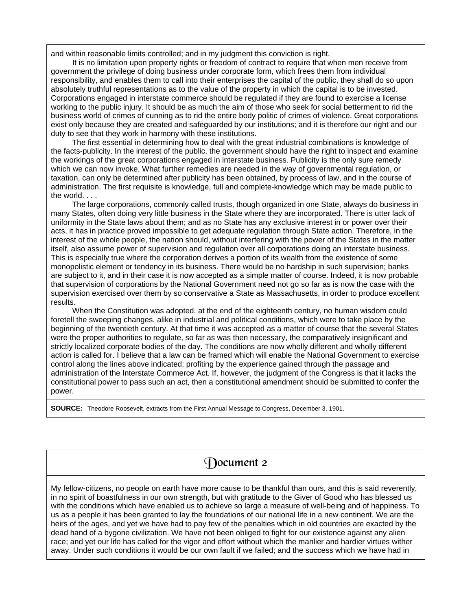and within reasonable limits controlled; and in my judgment this conviction is right.

 It is no limitation upon property rights or freedom of contract to require that when men receive from government the privilege of doing business under corporate form, which frees them from individual responsibility, and enables them to call into their enterprises the capital of the public, they shall do so upon absolutely truthful representations as to the value of the property in which the capital is to be invested. Corporations engaged in interstate commerce should be regulated if they are found to exercise a license working to the public injury. It should be as much the aim of those who seek for social betterment to rid the business world of crimes of cunning as to rid the entire body politic of crimes of violence. Great corporations exist only because they are created and safeguarded by our institutions; and it is therefore our right and our duty to see that they work in harmony with these institutions.

 The first essential in determining how to deal with the great industrial combinations is knowledge of the facts-publicity. In the interest of the public, the government should have the right to inspect and examine the workings of the great corporations engaged in interstate business. Publicity is the only sure remedy which we can now invoke. What further remedies are needed in the way of governmental regulation, or taxation, can only be determined after publicity has been obtained, by process of law, and in the course of administration. The first requisite is knowledge, full and complete-knowledge which may be made public to the world. . . .

 The large corporations, commonly called trusts, though organized in one State, always do business in many States, often doing very little business in the State where they are incorporated. There is utter lack of uniformity in the State laws about them; and as no State has any exclusive interest in or power over their acts, it has in practice proved impossible to get adequate regulation through State action. Therefore, in the interest of the whole people, the nation should, without interfering with the power of the States in the matter itself, also assume power of supervision and regulation over all corporations doing an interstate business. This is especially true where the corporation derives a portion of its wealth from the existence of some monopolistic element or tendency in its business. There would be no hardship in such supervision; banks are subject to it, and in their case it is now accepted as a simple matter of course. Indeed, it is now probable that supervision of corporations by the National Government need not go so far as is now the case with the supervision exercised over them by so conservative a State as Massachusetts, in order to produce excellent results.

 When the Constitution was adopted, at the end of the eighteenth century, no human wisdom could foretell the sweeping changes, alike in industrial and political conditions, which were to take place by the beginning of the twentieth century. At that time it was accepted as a matter of course that the several States were the proper authorities to regulate, so far as was then necessary, the comparatively insignificant and strictly localized corporate bodies of the day. The conditions are now wholly different and wholly different action is called for. I believe that a law can be framed which will enable the National Government to exercise control along the lines above indicated; profiting by the experience gained through the passage and administration of the Interstate Commerce Act. If, however, the judgment of the Congress is that it lacks the constitutional power to pass such an act, then a constitutional amendment should be submitted to confer the power.

**SOURCE:** Theodore Roosevelt, extracts from the First Annual Message to Congress, December 3, 1901.

## Document 2

My fellow-citizens, no people on earth have more cause to be thankful than ours, and this is said reverently, in no spirit of boastfulness in our own strength, but with gratitude to the Giver of Good who has blessed us with the conditions which have enabled us to achieve so large a measure of well-being and of happiness. To us as a people it has been granted to lay the foundations of our national life in a new continent. We are the heirs of the ages, and yet we have had to pay few of the penalties which in old countries are exacted by the dead hand of a bygone civilization. We have not been obliged to fight for our existence against any alien race; and yet our life has called for the vigor and effort without which the manlier and hardier virtues wither away. Under such conditions it would be our own fault if we failed; and the success which we have had in